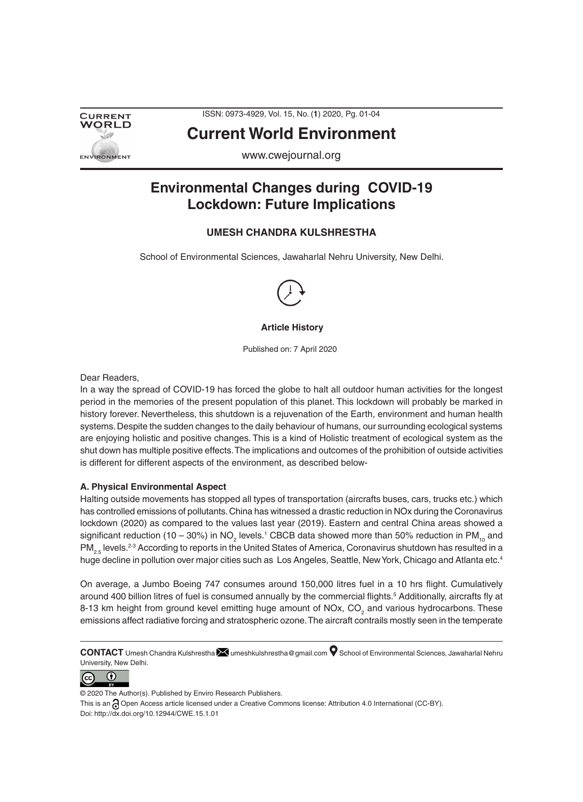

ISSN: 0973-4929, Vol. 15, No. (**1**) 2020, Pg. 01-04

# **Current World Environment**

www.cwejournal.org

## **Environmental Changes during COVID-19 Lockdown: Future Implications**

## **UMESH CHANDRA KULSHRESTHA**

School of Environmental Sciences, Jawaharlal Nehru University, New Delhi.



## **Article History**

Published on: 7 April 2020

Dear Readers,

In a way the spread of COVID-19 has forced the globe to halt all outdoor human activities for the longest period in the memories of the present population of this planet. This lockdown will probably be marked in history forever. Nevertheless, this shutdown is a rejuvenation of the Earth, environment and human health systems. Despite the sudden changes to the daily behaviour of humans, our surrounding ecological systems are enjoying holistic and positive changes. This is a kind of Holistic treatment of ecological system as the shut down has multiple positive effects. The implications and outcomes of the prohibition of outside activities is different for different aspects of the environment, as described below-

## **A. Physical Environmental Aspect**

Halting outside movements has stopped all types of transportation (aircrafts buses, cars, trucks etc.) which has controlled emissions of pollutants. China has witnessed a drastic reduction in NOx during the Coronavirus lockdown (2020) as compared to the values last year (2019). Eastern and central China areas showed a significant reduction (10 – 30%) in NO<sub>2</sub> levels.<sup>1</sup> CBCB data showed more than 50% reduction in PM<sub>10</sub> and PM<sub>2</sub>. levels.<sup>2-3</sup> According to reports in the United States of America, Coronavirus shutdown has resulted in a huge decline in pollution over major cities such as Los Angeles, Seattle, New York, Chicago and Atlanta etc.<sup>4</sup>

On average, a Jumbo Boeing 747 consumes around 150,000 litres fuel in a 10 hrs flight. Cumulatively around 400 billion litres of fuel is consumed annually by the commercial flights.<sup>5</sup> Additionally, aircrafts fly at 8-13 km height from ground kevel emitting huge amount of NOx, CO<sub>2</sub> and various hydrocarbons. These emissions affect radiative forcing and stratospheric ozone. The aircraft contrails mostly seen in the temperate

**CONTACT** Umesh Chandra Kulshrestha **M**umeshkulshrestha@gmail.com **O** School of Environmental Sciences, Jawaharlal Nehru University, New Delhi.



© 2020 The Author(s). Published by Enviro Research Publishers.

This is an a Open Access article licensed under a Creative Commons license: Attribution 4.0 International (CC-BY). Doi: http://dx.doi.org/10.12944/CWE.15.1.01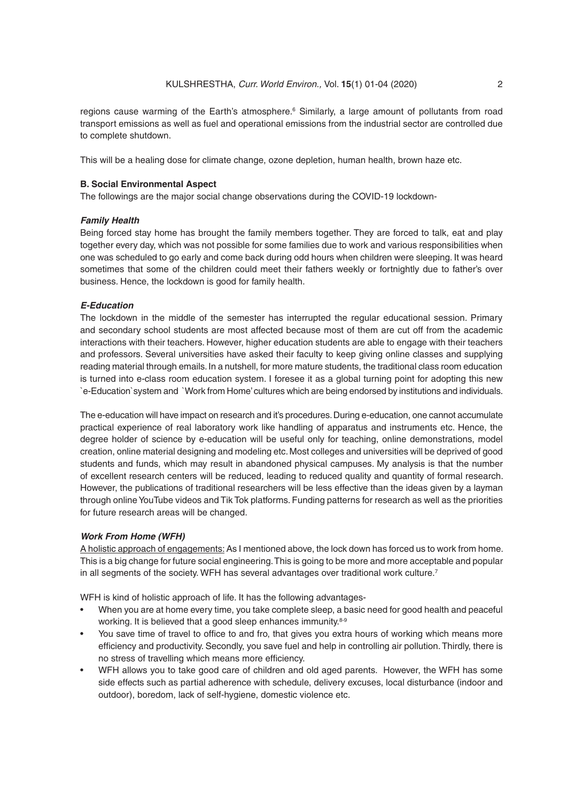regions cause warming of the Earth's atmosphere.<sup>6</sup> Similarly, a large amount of pollutants from road transport emissions as well as fuel and operational emissions from the industrial sector are controlled due to complete shutdown.

This will be a healing dose for climate change, ozone depletion, human health, brown haze etc.

#### **B. Social Environmental Aspect**

The followings are the major social change observations during the COVID-19 lockdown-

#### *Family Health*

Being forced stay home has brought the family members together. They are forced to talk, eat and play together every day, which was not possible for some families due to work and various responsibilities when one was scheduled to go early and come back during odd hours when children were sleeping. It was heard sometimes that some of the children could meet their fathers weekly or fortnightly due to father's over business. Hence, the lockdown is good for family health.

## *E-Education*

The lockdown in the middle of the semester has interrupted the regular educational session. Primary and secondary school students are most affected because most of them are cut off from the academic interactions with their teachers. However, higher education students are able to engage with their teachers and professors. Several universities have asked their faculty to keep giving online classes and supplying reading material through emails. In a nutshell, for more mature students, the traditional class room education is turned into e-class room education system. I foresee it as a global turning point for adopting this new `e-Education`system and `Work from Home' cultures which are being endorsed by institutions and individuals.

The e-education will have impact on research and it's procedures. During e-education, one cannot accumulate practical experience of real laboratory work like handling of apparatus and instruments etc. Hence, the degree holder of science by e-education will be useful only for teaching, online demonstrations, model creation, online material designing and modeling etc. Most colleges and universities will be deprived of good students and funds, which may result in abandoned physical campuses. My analysis is that the number of excellent research centers will be reduced, leading to reduced quality and quantity of formal research. However, the publications of traditional researchers will be less effective than the ideas given by a layman through online YouTube videos and Tik Tok platforms. Funding patterns for research as well as the priorities for future research areas will be changed.

#### *Work From Home (WFH)*

A holistic approach of engagements: As I mentioned above, the lock down has forced us to work from home. This is a big change for future social engineering. This is going to be more and more acceptable and popular in all segments of the society. WFH has several advantages over traditional work culture.<sup>7</sup>

WFH is kind of holistic approach of life. It has the following advantages-

- When you are at home every time, you take complete sleep, a basic need for good health and peaceful working. It is believed that a good sleep enhances immunity.<sup>8-9</sup>
- You save time of travel to office to and fro, that gives you extra hours of working which means more efficiency and productivity. Secondly, you save fuel and help in controlling air pollution. Thirdly, there is no stress of travelling which means more efficiency.
- WFH allows you to take good care of children and old aged parents. However, the WFH has some side effects such as partial adherence with schedule, delivery excuses, local disturbance (indoor and outdoor), boredom, lack of self-hygiene, domestic violence etc.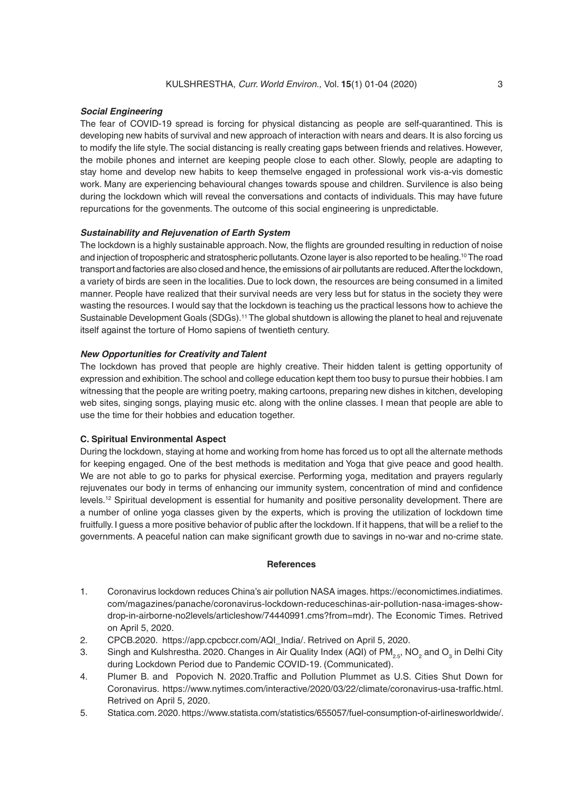### *Social Engineering*

The fear of COVID-19 spread is forcing for physical distancing as people are self-quarantined. This is developing new habits of survival and new approach of interaction with nears and dears. It is also forcing us to modify the life style. The social distancing is really creating gaps between friends and relatives. However, the mobile phones and internet are keeping people close to each other. Slowly, people are adapting to stay home and develop new habits to keep themselve engaged in professional work vis-a-vis domestic work. Many are experiencing behavioural changes towards spouse and children. Survilence is also being during the lockdown which will reveal the conversations and contacts of individuals. This may have future repurcations for the govenments. The outcome of this social engineering is unpredictable.

## *Sustainability and Rejuvenation of Earth System*

The lockdown is a highly sustainable approach. Now, the flights are grounded resulting in reduction of noise and injection of tropospheric and stratospheric pollutants. Ozone layer is also reported to be healing.<sup>10</sup> The road transport and factories are also closed and hence, the emissions of air pollutants are reduced. After the lockdown, a variety of birds are seen in the localities. Due to lock down, the resources are being consumed in a limited manner. People have realized that their survival needs are very less but for status in the society they were wasting the resources. I would say that the lockdown is teaching us the practical lessons how to achieve the Sustainable Development Goals (SDGs).<sup>11</sup> The global shutdown is allowing the planet to heal and rejuvenate itself against the torture of Homo sapiens of twentieth century.

### *New Opportunities for Creativity and Talent*

The lockdown has proved that people are highly creative. Their hidden talent is getting opportunity of expression and exhibition. The school and college education kept them too busy to pursue their hobbies. I am witnessing that the people are writing poetry, making cartoons, preparing new dishes in kitchen, developing web sites, singing songs, playing music etc. along with the online classes. I mean that people are able to use the time for their hobbies and education together.

## **C. Spiritual Environmental Aspect**

During the lockdown, staying at home and working from home has forced us to opt all the alternate methods for keeping engaged. One of the best methods is meditation and Yoga that give peace and good health. We are not able to go to parks for physical exercise. Performing yoga, meditation and prayers regularly rejuvenates our body in terms of enhancing our immunity system, concentration of mind and confidence levels.12 Spiritual development is essential for humanity and positive personality development. There are a number of online yoga classes given by the experts, which is proving the utilization of lockdown time fruitfully. I guess a more positive behavior of public after the lockdown. If it happens, that will be a relief to the governments. A peaceful nation can make significant growth due to savings in no-war and no-crime state.

#### **References**

- 1. Coronavirus lockdown reduces China's air pollution NASA images. https://economictimes.indiatimes. com/magazines/panache/coronavirus-lockdown-reduceschinas-air-pollution-nasa-images-showdrop-in-airborne-no2levels/articleshow/74440991.cms?from=mdr). The Economic Times. Retrived on April 5, 2020.
- 2. CPCB.2020. https://app.cpcbccr.com/AQI\_India/. Retrived on April 5, 2020.
- 3. Singh and Kulshrestha. 2020. Changes in Air Quality Index (AQI) of PM<sub>2.5</sub>, NO<sub>2</sub> and O<sub>3</sub> in Delhi City during Lockdown Period due to Pandemic COVID-19. (Communicated).
- 4. Plumer B. and Popovich N. 2020.Traffic and Pollution Plummet as U.S. Cities Shut Down for Coronavirus. https://www.nytimes.com/interactive/2020/03/22/climate/coronavirus-usa-traffic.html. Retrived on April 5, 2020.
- 5. Statica.com. 2020. https://www.statista.com/statistics/655057/fuel-consumption-of-airlinesworldwide/.